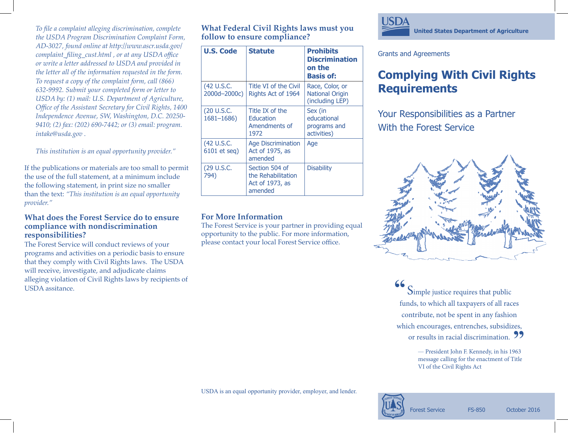*To file a complaint alleging discrimination, complete the USDA Program Discrimination Complaint Form, AD-3027, found online at http://www.ascr.usda.gov/ complaint\_filing\_cust.html , or at any USDA office or write a letter addressed to USDA and provided in the letter all of the information requested in the form. To request a copy of the complaint form, call (866) 632-9992. Submit your completed form or letter to USDA by: (1) mail: U.S. Department of Agriculture, Office of the Assistant Secretary for Civil Rights, 1400 Independence Avenue, SW, Washington, D.C. 20250- 9410; (2) fax: (202) 690-7442; or (3) email: program. intake@usda.gov .* 

*This institution is an equal opportunity provider."*

If the publications or materials are too small to permit the use of the full statement, at a minimum include the following statement, in print size no smaller than the text: *"This institution is an equal opportunity provider."*

### **What does the Forest Service do to ensure compliance with nondiscrimination responsibilities?**

The Forest Service will conduct reviews of your programs and activities on a periodic basis to ensure that they comply with Civil Rights laws. The USDA will receive, investigate, and adjudicate claims alleging violation of Civil Rights laws by recipients of USDA assitance.

**What Federal Civil Rights laws must you follow to ensure compliance?**

| <b>U.S. Code</b>            | <b>Statute</b>                                                     | <b>Prohibits</b><br><b>Discrimination</b><br>on the<br><b>Basis of:</b> |
|-----------------------------|--------------------------------------------------------------------|-------------------------------------------------------------------------|
| (42 U.S.C.<br>2000d-2000c)  | Title VI of the Civil<br>Rights Act of 1964                        | Race, Color, or<br><b>National Origin</b><br>(including LEP)            |
| (20 U.S.C.<br>$1681 - 1686$ | Title IX of the<br>Education<br>Amendments of<br>1972              | Sex (in<br>educational<br>programs and<br>activities)                   |
| (42 U.S.C.<br>6101 et seq)  | <b>Age Discrimination</b><br>Act of 1975, as<br>amended            | Age                                                                     |
| (29 U.S.C.<br>794)          | Section 504 of<br>the Rehabilitation<br>Act of 1973, as<br>amended | <b>Disability</b>                                                       |

## **For More Information**

The Forest Service is your partner in providing equal opportunity to the public. For more information, please contact your local Forest Service office.



Grants and Agreements

# **Complying With Civil Rights Requirements**

Your Responsibilities as a Partner With the Forest Service



Simple justice requires that public funds, to which all taxpayers of all races contribute, not be spent in any fashion which encourages, entrenches, subsidizes, or results in racial discrimination.<br> **President John E Kennedy in his 1963 "**

*—* President John F. Kennedy, in his 1963 message calling for the enactment of Title VI of the Civil Rights Act